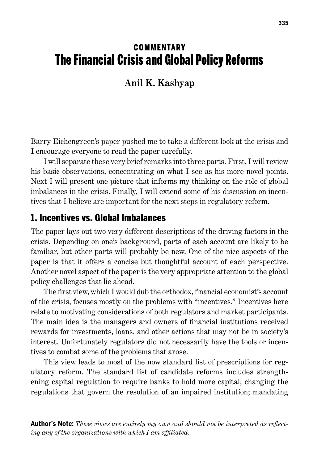# **COMMENTARY** The Financial Crisis and Global Policy Reforms

### **Anil K. Kashyap**

Barry Eichengreen's paper pushed me to take a different look at the crisis and I encourage everyone to read the paper carefully.

I will separate these very brief remarks into three parts. First, I will review his basic observations, concentrating on what I see as his more novel points. Next I will present one picture that informs my thinking on the role of global imbalances in the crisis. Finally, I will extend some of his discussion on incentives that I believe are important for the next steps in regulatory reform.

#### 1. Incentives vs. Global Imbalances

The paper lays out two very different descriptions of the driving factors in the crisis. Depending on one's background, parts of each account are likely to be familiar, but other parts will probably be new. One of the nice aspects of the paper is that it offers a concise but thoughtful account of each perspective. Another novel aspect of the paper is the very appropriate attention to the global policy challenges that lie ahead.

The first view, which I would dub the orthodox, financial economist's account of the crisis, focuses mostly on the problems with "incentives." Incentives here relate to motivating considerations of both regulators and market participants. The main idea is the managers and owners of financial institutions received rewards for investments, loans, and other actions that may not be in society's interest. Unfortunately regulators did not necessarily have the tools or incentives to combat some of the problems that arose.

This view leads to most of the now standard list of prescriptions for regulatory reform. The standard list of candidate reforms includes strengthening capital regulation to require banks to hold more capital; changing the regulations that govern the resolution of an impaired institution; mandating

**Author's Note:** *These views are entirely my own and should not be interpreted as reflecting any of the organizations with which I am affiliated.*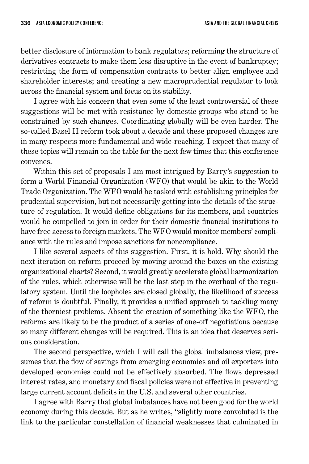better disclosure of information to bank regulators; reforming the structure of derivatives contracts to make them less disruptive in the event of bankruptcy; restricting the form of compensation contracts to better align employee and shareholder interests; and creating a new macroprudential regulator to look across the financial system and focus on its stability.

I agree with his concern that even some of the least controversial of these suggestions will be met with resistance by domestic groups who stand to be constrained by such changes. Coordinating globally will be even harder. The so-called Basel II reform took about a decade and these proposed changes are in many respects more fundamental and wide-reaching. I expect that many of these topics will remain on the table for the next few times that this conference convenes.

Within this set of proposals I am most intrigued by Barry's suggestion to form a World Financial Organization (WFO) that would be akin to the World Trade Organization. The WFO would be tasked with establishing principles for prudential supervision, but not necessarily getting into the details of the structure of regulation. It would define obligations for its members, and countries would be compelled to join in order for their domestic financial institutions to have free access to foreign markets. The WFO would monitor members' compliance with the rules and impose sanctions for noncompliance.

I like several aspects of this suggestion. First, it is bold. Why should the next iteration on reform proceed by moving around the boxes on the existing organizational charts? Second, it would greatly accelerate global harmonization of the rules, which otherwise will be the last step in the overhaul of the regulatory system. Until the loopholes are closed globally, the likelihood of success of reform is doubtful. Finally, it provides a unified approach to tackling many of the thorniest problems. Absent the creation of something like the WFO, the reforms are likely to be the product of a series of one-off negotiations because so many different changes will be required. This is an idea that deserves serious consideration.

The second perspective, which I will call the global imbalances view, presumes that the flow of savings from emerging economies and oil exporters into developed economies could not be effectively absorbed. The flows depressed interest rates, and monetary and fiscal policies were not effective in preventing large current account deficits in the U.S. and several other countries.

I agree with Barry that global imbalances have not been good for the world economy during this decade. But as he writes, "slightly more convoluted is the link to the particular constellation of financial weaknesses that culminated in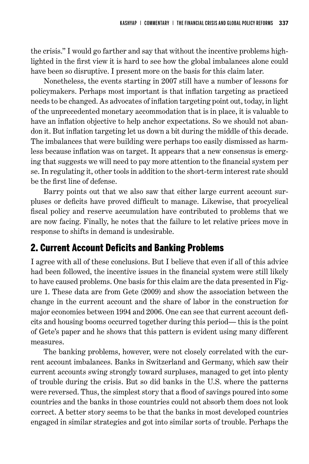the crisis." I would go farther and say that without the incentive problems highlighted in the first view it is hard to see how the global imbalances alone could have been so disruptive. I present more on the basis for this claim later.

Nonetheless, the events starting in 2007 still have a number of lessons for policymakers. Perhaps most important is that inflation targeting as practiced needs to be changed. As advocates of inflation targeting point out, today, in light of the unprecedented monetary accommodation that is in place, it is valuable to have an inflation objective to help anchor expectations. So we should not abandon it. But inflation targeting let us down a bit during the middle of this decade. The imbalances that were building were perhaps too easily dismissed as harmless because inflation was on target. It appears that a new consensus is emerging that suggests we will need to pay more attention to the financial system per se. In regulating it, other tools in addition to the short-term interest rate should be the first line of defense.

Barry points out that we also saw that either large current account surpluses or deficits have proved difficult to manage. Likewise, that procyclical fiscal policy and reserve accumulation have contributed to problems that we are now facing. Finally, he notes that the failure to let relative prices move in response to shifts in demand is undesirable.

## 2. Current Account Deficits and Banking Problems

I agree with all of these conclusions. But I believe that even if all of this advice had been followed, the incentive issues in the financial system were still likely to have caused problems. One basis for this claim are the data presented in Figure 1. These data are from Gete (2009) and show the association between the change in the current account and the share of labor in the construction for major economies between 1994 and 2006. One can see that current account deficits and housing booms occurred together during this period— this is the point of Gete's paper and he shows that this pattern is evident using many different measures.

The banking problems, however, were not closely correlated with the current account imbalances. Banks in Switzerland and Germany, which saw their current accounts swing strongly toward surpluses, managed to get into plenty of trouble during the crisis. But so did banks in the U.S. where the patterns were reversed. Thus, the simplest story that a flood of savings poured into some countries and the banks in those countries could not absorb them does not look correct. A better story seems to be that the banks in most developed countries engaged in similar strategies and got into similar sorts of trouble. Perhaps the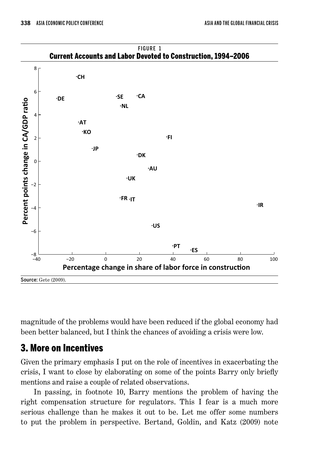

magnitude of the problems would have been reduced if the global economy had been better balanced, but I think the chances of avoiding a crisis were low.

## 3. More on Incentives

Given the primary emphasis I put on the role of incentives in exacerbating the crisis, I want to close by elaborating on some of the points Barry only briefly mentions and raise a couple of related observations.

In passing, in footnote 10, Barry mentions the problem of having the right compensation structure for regulators. This I fear is a much more serious challenge than he makes it out to be. Let me offer some numbers to put the problem in perspective. Bertand, Goldin, and Katz (2009) note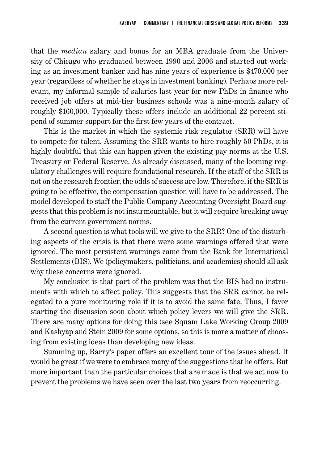that the *median* salary and bonus for an MBA graduate from the University of Chicago who graduated between 1990 and 2006 and started out working as an investment banker and has nine years of experience is \$470,000 per year (regardless of whether he stays in investment banking). Perhaps more relevant, my informal sample of salaries last year for new PhDs in finance who received job offers at mid-tier business schools was a nine-month salary of roughly \$160,000. Typically these offers include an additional 22 percent stipend of summer support for the first few years of the contract.

This is the market in which the systemic risk regulator (SRR) will have to compete for talent. Assuming the SRR wants to hire roughly 50 PhDs, it is highly doubtful that this can happen given the existing pay norms at the U.S. Treasury or Federal Reserve. As already discussed, many of the looming regulatory challenges will require foundational research. If the staff of the SRR is not on the research frontier, the odds of success are low. Therefore, if the SRR is going to be effective, the compensation question will have to be addressed. The model developed to staff the Public Company Accounting Oversight Board suggests that this problem is not insurmountable, but it will require breaking away from the current government norms.

A second question is what tools will we give to the SRR? One of the disturbing aspects of the crisis is that there were some warnings offered that were ignored. The most persistent warnings came from the Bank for International Settlements (BIS). We (policymakers, politicians, and academics) should all ask why these concerns were ignored.

My conclusion is that part of the problem was that the BIS had no instruments with which to affect policy. This suggests that the SRR cannot be relegated to a pure monitoring role if it is to avoid the same fate. Thus, I favor starting the discussion soon about which policy levers we will give the SRR. There are many options for doing this (see Squam Lake Working Group 2009 and Kashyap and Stein 2009 for some options, so this is more a matter of choosing from existing ideas than developing new ideas.

Summing up, Barry's paper offers an excellent tour of the issues ahead. It would be great if we were to embrace many of the suggestions that he offers. But more important than the particular choices that are made is that we act now to prevent the problems we have seen over the last two years from reoccurring.